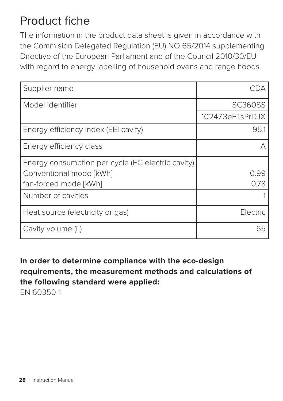## Product fiche

The information in the product data sheet is given in accordance with the Commision Delegated Regulation (EU) NO 65/2014 supplementing Directive of the European Parliament and of the Council 2010/30/EU with regard to energy labelling of household ovens and range hoods.

| Supplier name                                     |                  |
|---------------------------------------------------|------------------|
| Model identifier                                  | <b>SC360SS</b>   |
|                                                   | 10247.3eETsPrDJX |
| Energy efficiency index (EEI cavity)              | 95,1             |
| Energy efficiency class                           |                  |
| Energy consumption per cycle (EC electric cavity) |                  |
| Conventional mode [kWh]                           | 0.99             |
| fan-forced mode [kWh]                             | 0.78             |
| Number of cavities                                |                  |
| Heat source (electricity or gas)                  | Electric         |
| Cavity volume (L)                                 | 65               |

**In order to determine compliance with the eco-design requirements, the measurement methods and calculations of the following standard were applied:**

EN 60350-1